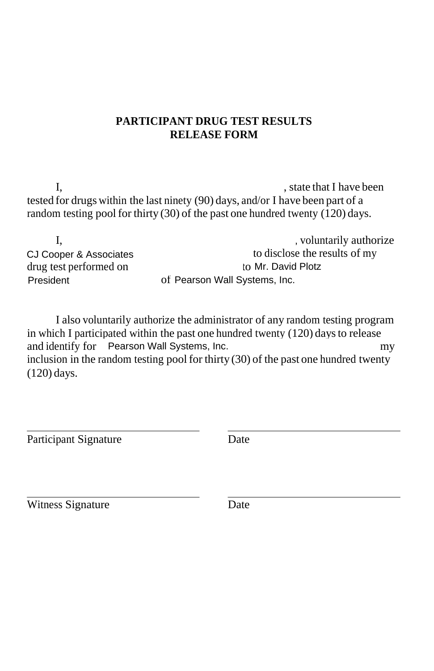## **PARTICIPANT DRUG TEST RESULTS RELEASE FORM**

I,  $\frac{1}{2}$  is the that I have been  $\frac{1}{2}$  have been tested for drugs within the last ninety (90) days, and/or I have been part of a random testing pool for thirty  $(30)$  of the past one hundred twenty  $(120)$  days.

| , voluntarily authorize       |
|-------------------------------|
| to disclose the results of my |
| to Mr. David Plotz            |
| of Pearson Wall Systems, Inc. |
|                               |

I also voluntarily authorize the administrator of any random testing program in which I participated within the past one hundred twenty (120) daysto release and identify for Pearson Wall Systems, Inc. **provident** company and identify for Pearson Wall Systems, Inc. inclusion in the random testing pool for thirty  $(30)$  of the past one hundred twenty (120) days.

Participant Signature Date

Witness Signature Date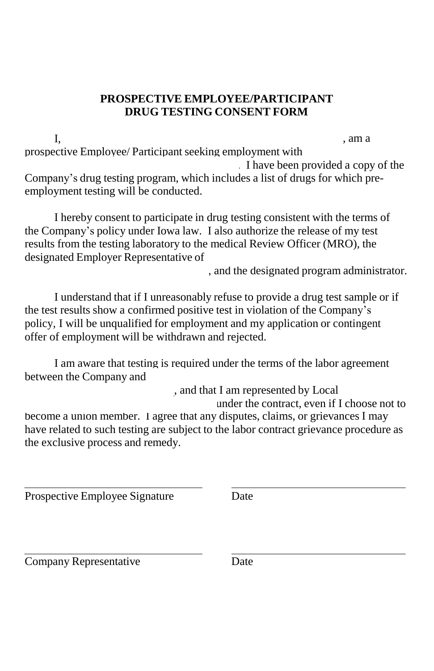## **PROSPECTIVE EMPLOYEE/PARTICIPANT DRUG TESTING CONSENT FORM**

I, (*insert prospective employee name*) \_, am a prospective Employee/ Participant seeking employment with I have been provided a copy of the Company's drug testing program, which includes a list of drugs for which preemployment testing will be conducted.

I hereby consent to participate in drug testing consistent with the terms of the Company's policy under Iowa law. I also authorize the release of my test results from the testing laboratory to the medical Review Officer (MRO), the designated Employer Representative of

, and the designated program administrator.

I understand that if I unreasonably refuse to provide a drug test sample or if the test results show a confirmed positive test in violation of the Company's policy, I will be unqualified for employment and my application or contingent offer of employment will be withdrawn and rejected.

I am aware that testing is required under the terms of the labor agreement between the Company and (*insert craft local name and number*)

, and that I am represented by Local (*insert local*

*number*) under the contract, even if I choose not to

become a union member. I agree that any disputes, claims, or grievances I may have related to such testing are subject to the labor contract grievance procedure as the exclusive process and remedy.

Prospective Employee Signature Date

Company Representative Date